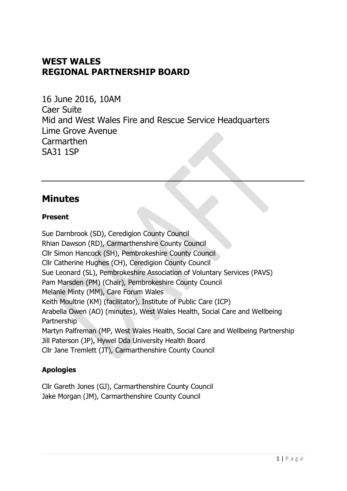# **WEST WALES REGIONAL PARTNERSHIP BOARD**

16 June 2016, 10AM Caer Suite Mid and West Wales Fire and Rescue Service Headquarters Lime Grove Avenue **Carmarthen** SA31 1SP

## **Minutes**

## **Present**

Sue Darnbrook (SD), Ceredigion County Council Rhian Dawson (RD), Carmarthenshire County Council Cllr Simon Hancock (SH), Pembrokeshire County Council Cllr Catherine Hughes (CH), Ceredigion County Council Sue Leonard (SL), Pembrokeshire Association of Voluntary Services (PAVS) Pam Marsden (PM) (Chair), Pembrokeshire County Council Melanie Minty (MM), Care Forum Wales Keith Moultrie (KM) (facilitator), Institute of Public Care (ICP) Arabella Owen (AO) (minutes), West Wales Health, Social Care and Wellbeing Partnership Martyn Palfreman (MP, West Wales Health, Social Care and Wellbeing Partnership Jill Paterson (JP), Hywel Dda University Health Board Cllr Jane Tremlett (JT), Carmarthenshire County Council

## **Apologies**

Cllr Gareth Jones (GJ), Carmarthenshire County Council Jake Morgan (JM), Carmarthenshire County Council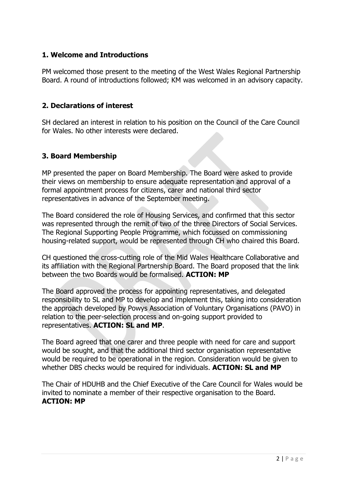### **1. Welcome and Introductions**

PM welcomed those present to the meeting of the West Wales Regional Partnership Board. A round of introductions followed; KM was welcomed in an advisory capacity.

#### **2. Declarations of interest**

SH declared an interest in relation to his position on the Council of the Care Council for Wales. No other interests were declared.

### **3. Board Membership**

MP presented the paper on Board Membership. The Board were asked to provide their views on membership to ensure adequate representation and approval of a formal appointment process for citizens, carer and national third sector representatives in advance of the September meeting.

The Board considered the role of Housing Services, and confirmed that this sector was represented through the remit of two of the three Directors of Social Services. The Regional Supporting People Programme, which focussed on commissioning housing-related support, would be represented through CH who chaired this Board.

CH questioned the cross-cutting role of the Mid Wales Healthcare Collaborative and its affiliation with the Regional Partnership Board. The Board proposed that the link between the two Boards would be formalised. **ACTION: MP**

The Board approved the process for appointing representatives, and delegated responsibility to SL and MP to develop and implement this, taking into consideration the approach developed by Powys Association of Voluntary Organisations (PAVO) in relation to the peer-selection process and on-going support provided to representatives. **ACTION: SL and MP**.

The Board agreed that one carer and three people with need for care and support would be sought, and that the additional third sector organisation representative would be required to be operational in the region. Consideration would be given to whether DBS checks would be required for individuals. **ACTION: SL and MP**

The Chair of HDUHB and the Chief Executive of the Care Council for Wales would be invited to nominate a member of their respective organisation to the Board. **ACTION: MP**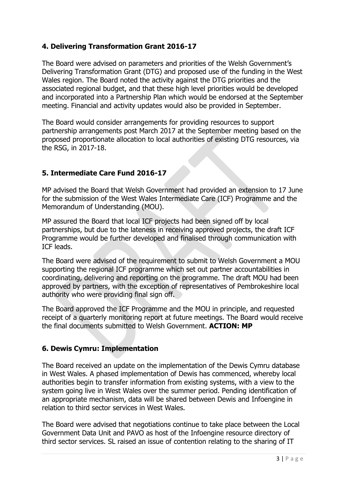## **4. Delivering Transformation Grant 2016-17**

The Board were advised on parameters and priorities of the Welsh Government's Delivering Transformation Grant (DTG) and proposed use of the funding in the West Wales region. The Board noted the activity against the DTG priorities and the associated regional budget, and that these high level priorities would be developed and incorporated into a Partnership Plan which would be endorsed at the September meeting. Financial and activity updates would also be provided in September.

The Board would consider arrangements for providing resources to support partnership arrangements post March 2017 at the September meeting based on the proposed proportionate allocation to local authorities of existing DTG resources, via the RSG, in 2017-18.

### **5. Intermediate Care Fund 2016-17**

MP advised the Board that Welsh Government had provided an extension to 17 June for the submission of the West Wales Intermediate Care (ICF) Programme and the Memorandum of Understanding (MOU).

MP assured the Board that local ICF projects had been signed off by local partnerships, but due to the lateness in receiving approved projects, the draft ICF Programme would be further developed and finalised through communication with ICF leads.

The Board were advised of the requirement to submit to Welsh Government a MOU supporting the regional ICF programme which set out partner accountabilities in coordinating, delivering and reporting on the programme. The draft MOU had been approved by partners, with the exception of representatives of Pembrokeshire local authority who were providing final sign off.

The Board approved the ICF Programme and the MOU in principle, and requested receipt of a quarterly monitoring report at future meetings. The Board would receive the final documents submitted to Welsh Government. **ACTION: MP**

#### **6. Dewis Cymru: Implementation**

The Board received an update on the implementation of the Dewis Cymru database in West Wales. A phased implementation of Dewis has commenced, whereby local authorities begin to transfer information from existing systems, with a view to the system going live in West Wales over the summer period. Pending identification of an appropriate mechanism, data will be shared between Dewis and Infoengine in relation to third sector services in West Wales.

The Board were advised that negotiations continue to take place between the Local Government Data Unit and PAVO as host of the Infoengine resource directory of third sector services. SL raised an issue of contention relating to the sharing of IT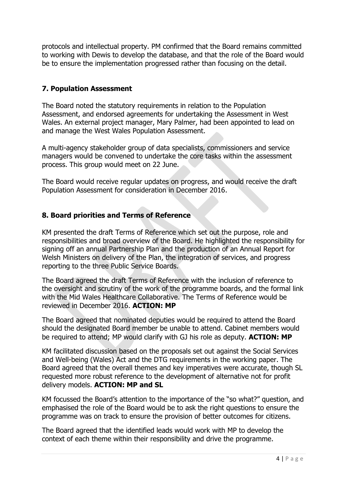protocols and intellectual property. PM confirmed that the Board remains committed to working with Dewis to develop the database, and that the role of the Board would be to ensure the implementation progressed rather than focusing on the detail.

## **7. Population Assessment**

The Board noted the statutory requirements in relation to the Population Assessment, and endorsed agreements for undertaking the Assessment in West Wales. An external project manager, Mary Palmer, had been appointed to lead on and manage the West Wales Population Assessment.

A multi-agency stakeholder group of data specialists, commissioners and service managers would be convened to undertake the core tasks within the assessment process. This group would meet on 22 June.

The Board would receive regular updates on progress, and would receive the draft Population Assessment for consideration in December 2016.

## **8. Board priorities and Terms of Reference**

KM presented the draft Terms of Reference which set out the purpose, role and responsibilities and broad overview of the Board. He highlighted the responsibility for signing off an annual Partnership Plan and the production of an Annual Report for Welsh Ministers on delivery of the Plan, the integration of services, and progress reporting to the three Public Service Boards.

The Board agreed the draft Terms of Reference with the inclusion of reference to the oversight and scrutiny of the work of the programme boards, and the formal link with the Mid Wales Healthcare Collaborative. The Terms of Reference would be reviewed in December 2016. **ACTION: MP**

The Board agreed that nominated deputies would be required to attend the Board should the designated Board member be unable to attend. Cabinet members would be required to attend; MP would clarify with GJ his role as deputy. **ACTION: MP**

KM facilitated discussion based on the proposals set out against the Social Services and Well-being (Wales) Act and the DTG requirements in the working paper. The Board agreed that the overall themes and key imperatives were accurate, though SL requested more robust reference to the development of alternative not for profit delivery models. **ACTION: MP and SL**

KM focussed the Board's attention to the importance of the "so what?" question, and emphasised the role of the Board would be to ask the right questions to ensure the programme was on track to ensure the provision of better outcomes for citizens.

The Board agreed that the identified leads would work with MP to develop the context of each theme within their responsibility and drive the programme.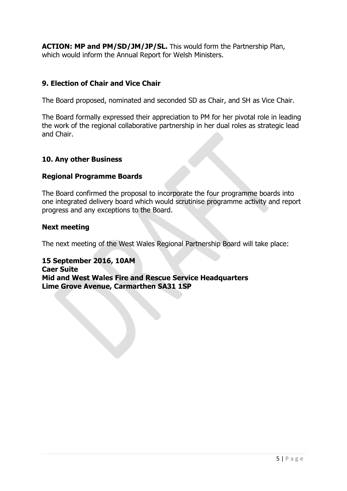**ACTION: MP and PM/SD/JM/JP/SL.** This would form the Partnership Plan, which would inform the Annual Report for Welsh Ministers.

#### **9. Election of Chair and Vice Chair**

The Board proposed, nominated and seconded SD as Chair, and SH as Vice Chair.

The Board formally expressed their appreciation to PM for her pivotal role in leading the work of the regional collaborative partnership in her dual roles as strategic lead and Chair.

#### **10. Any other Business**

#### **Regional Programme Boards**

The Board confirmed the proposal to incorporate the four programme boards into one integrated delivery board which would scrutinise programme activity and report progress and any exceptions to the Board.

#### **Next meeting**

The next meeting of the West Wales Regional Partnership Board will take place:

**15 September 2016, 10AM Caer Suite Mid and West Wales Fire and Rescue Service Headquarters Lime Grove Avenue, Carmarthen SA31 1SP**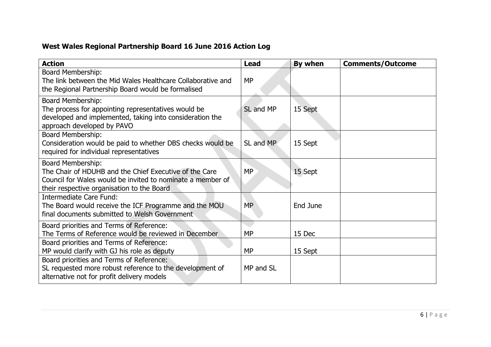# **West Wales Regional Partnership Board 16 June 2016 Action Log**

| <b>Action</b>                                                                                                                                                                           | <b>Lead</b> | By when  | <b>Comments/Outcome</b> |
|-----------------------------------------------------------------------------------------------------------------------------------------------------------------------------------------|-------------|----------|-------------------------|
| <b>Board Membership:</b><br>The link between the Mid Wales Healthcare Collaborative and<br>the Regional Partnership Board would be formalised                                           | <b>MP</b>   |          |                         |
| <b>Board Membership:</b><br>The process for appointing representatives would be<br>developed and implemented, taking into consideration the<br>approach developed by PAVO               | SL and MP   | 15 Sept  |                         |
| <b>Board Membership:</b><br>Consideration would be paid to whether DBS checks would be<br>required for individual representatives                                                       | SL and MP   | 15 Sept  |                         |
| Board Membership:<br>The Chair of HDUHB and the Chief Executive of the Care<br>Council for Wales would be invited to nominate a member of<br>their respective organisation to the Board | <b>MP</b>   | 15 Sept  |                         |
| Intermediate Care Fund:<br>The Board would receive the ICF Programme and the MOU<br>final documents submitted to Welsh Government                                                       | <b>MP</b>   | End June |                         |
| Board priorities and Terms of Reference:<br>The Terms of Reference would be reviewed in December                                                                                        | <b>MP</b>   | 15 Dec   |                         |
| Board priorities and Terms of Reference:<br>MP would clarify with GJ his role as deputy                                                                                                 | <b>MP</b>   | 15 Sept  |                         |
| Board priorities and Terms of Reference:<br>SL requested more robust reference to the development of<br>alternative not for profit delivery models                                      | MP and SL   |          |                         |